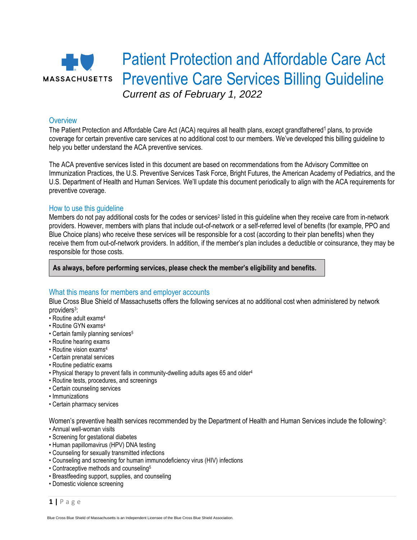

## **Overview**

The Patient Protection and Affordable Care Act (ACA) requires all health plans, except grandfathered<sup>1</sup> plans, to provide coverage for certain preventive care services at no additional cost to our members. We've developed this billing guideline to help you better understand the ACA preventive services.

The ACA preventive services listed in this document are based on recommendations from the Advisory Committee on Immunization Practices, the U.S. Preventive Services Task Force, Bright Futures, the American Academy of Pediatrics, and the U.S. Department of Health and Human Services. We'll update this document periodically to align with the ACA requirements for preventive coverage.

#### How to use this guideline

Members do not pay additional costs for the codes or services<sup>2</sup> listed in this guideline when they receive care from in-network providers. However, members with plans that include out-of-network or a self-referred level of benefits (for example, PPO and Blue Choice plans) who receive these services will be responsible for a cost (according to their plan benefits) when they receive them from out-of-network providers. In addition, if the member's plan includes a deductible or coinsurance, they may be responsible for those costs.

**As always, before performing services, please check the member's eligibility and benefits.**

### What this means for members and employer accounts

Blue Cross Blue Shield of Massachusetts offers the following services at no additional cost when administered by network providers<sup>3</sup>:

- Routine adult exams<sup>4</sup>
- Routine GYN exams<sup>4</sup>
- Certain family planning services<sup>5</sup>
- Routine hearing exams
- Routine vision exams<sup>4</sup>
- Certain prenatal services
- Routine pediatric exams
- Physical therapy to prevent falls in community-dwelling adults ages 65 and older 4
- Routine tests, procedures, and screenings
- Certain counseling services
- Immunizations
- Certain pharmacy services

Women's preventive health services recommended by the Department of Health and Human Services include the following<sup>3</sup>:

- Annual well-woman visits
- Screening for gestational diabetes
- Human papillomavirus (HPV) DNA testing
- Counseling for sexually transmitted infections
- Counseling and screening for human immunodeficiency virus (HIV) infections
- Contraceptive methods and counseling<sup>5</sup>
- Breastfeeding support, supplies, and counseling
- Domestic violence screening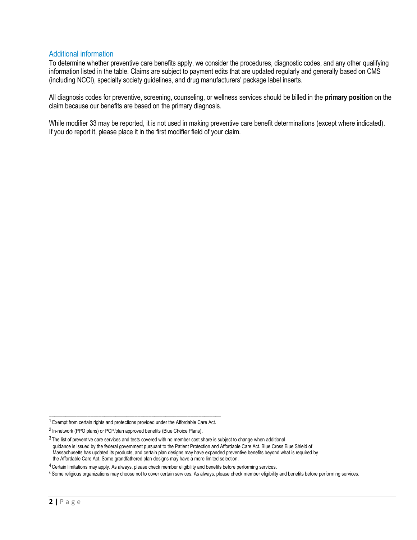## Additional information

To determine whether preventive care benefits apply, we consider the procedures, diagnostic codes, and any other qualifying information listed in the table. Claims are subject to payment edits that are updated regularly and generally based on CMS (including NCCI), specialty society guidelines, and drug manufacturers' package label inserts.

All diagnosis codes for preventive, screening, counseling, or wellness services should be billed in the **primary position** on the claim because our benefits are based on the primary diagnosis.

While modifier 33 may be reported, it is not used in making preventive care benefit determinations (except where indicated). If you do report it, please place it in the first modifier field of your claim.

\_\_\_\_\_\_\_\_\_\_\_\_\_\_\_\_\_\_\_\_\_\_\_\_\_\_\_\_\_\_\_\_\_\_\_\_\_\_\_\_\_\_\_\_\_\_\_\_\_\_\_\_\_\_\_\_\_\_\_\_\_\_ <sup>1</sup>Exempt from certain rights and protections provided under the Affordable Care Act.

<sup>&</sup>lt;sup>2</sup> In-network (PPO plans) or PCP/plan approved benefits (Blue Choice Plans).

 $3$  The list of preventive care services and tests covered with no member cost share is subject to change when additional guidance is issued by the federal government pursuant to the Patient Protection and Affordable Care Act. Blue Cross Blue Shield of Massachusetts has updated its products, and certain plan designs may have expanded preventive benefits beyond what is required by the Affordable Care Act. Some grandfathered plan designs may have a more limited selection.

<sup>&</sup>lt;sup>4</sup> Certain limitations may apply. As always, please check member eligibility and benefits before performing services.

<sup>5</sup> Some religious organizations may choose not to cover certain services. As always, please check member eligibility and benefits before performing services.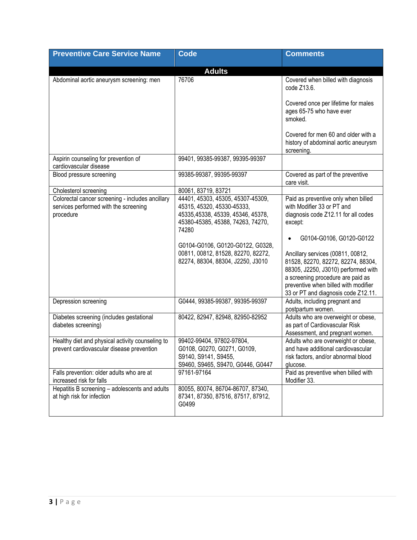| <b>Preventive Care Service Name</b>                                                                    | <b>Code</b>                                                                                                                                                                                                                                                       | <b>Comments</b>                                                                                                                                                                                                                                                                                        |
|--------------------------------------------------------------------------------------------------------|-------------------------------------------------------------------------------------------------------------------------------------------------------------------------------------------------------------------------------------------------------------------|--------------------------------------------------------------------------------------------------------------------------------------------------------------------------------------------------------------------------------------------------------------------------------------------------------|
|                                                                                                        | <b>Adults</b>                                                                                                                                                                                                                                                     |                                                                                                                                                                                                                                                                                                        |
| Abdominal aortic aneurysm screening: men                                                               | 76706                                                                                                                                                                                                                                                             | Covered when billed with diagnosis<br>code Z13.6.                                                                                                                                                                                                                                                      |
|                                                                                                        |                                                                                                                                                                                                                                                                   | Covered once per lifetime for males<br>ages 65-75 who have ever<br>smoked.                                                                                                                                                                                                                             |
|                                                                                                        |                                                                                                                                                                                                                                                                   | Covered for men 60 and older with a<br>history of abdominal aortic aneurysm<br>screening.                                                                                                                                                                                                              |
| Aspirin counseling for prevention of<br>cardiovascular disease                                         | 99401, 99385-99387, 99395-99397                                                                                                                                                                                                                                   |                                                                                                                                                                                                                                                                                                        |
| Blood pressure screening                                                                               | 99385-99387, 99395-99397                                                                                                                                                                                                                                          | Covered as part of the preventive<br>care visit.                                                                                                                                                                                                                                                       |
| Cholesterol screening                                                                                  | 80061, 83719, 83721                                                                                                                                                                                                                                               |                                                                                                                                                                                                                                                                                                        |
| Colorectal cancer screening - includes ancillary<br>services performed with the screening<br>procedure | 44401, 45303, 45305, 45307-45309,<br>45315, 45320, 45330-45333,<br>45335,45338, 45339, 45346, 45378,<br>45380-45385, 45388, 74263, 74270,<br>74280<br>G0104-G0106, G0120-G0122, G0328,<br>00811, 00812, 81528, 82270, 82272,<br>82274, 88304, 88304, J2250, J3010 | Paid as preventive only when billed<br>with Modifier 33 or PT and<br>diagnosis code Z12.11 for all codes<br>except:<br>G0104-G0106, G0120-G0122<br>Ancillary services (00811, 00812,<br>81528, 82270, 82272, 82274, 88304,<br>88305, J2250, J3010) performed with<br>a screening procedure are paid as |
|                                                                                                        |                                                                                                                                                                                                                                                                   | preventive when billed with modifier<br>33 or PT and diagnosis code Z12.11.                                                                                                                                                                                                                            |
| Depression screening                                                                                   | G0444, 99385-99387, 99395-99397                                                                                                                                                                                                                                   | Adults, including pregnant and<br>postpartum women.                                                                                                                                                                                                                                                    |
| Diabetes screening (includes gestational<br>diabetes screening)                                        | 80422, 82947, 82948, 82950-82952                                                                                                                                                                                                                                  | Adults who are overweight or obese,<br>as part of Cardiovascular Risk<br>Assessment, and pregnant women.                                                                                                                                                                                               |
| Healthy diet and physical activity counseling to<br>prevent cardiovascular disease prevention          | 99402-99404, 97802-97804,<br>G0108, G0270, G0271, G0109,<br>S9140, S9141, S9455,<br>S9460, S9465, S9470, G0446, G0447                                                                                                                                             | Adults who are overweight or obese,<br>and have additional cardiovascular<br>risk factors, and/or abnormal blood<br>glucose.                                                                                                                                                                           |
| Falls prevention: older adults who are at<br>increased risk for falls                                  | 97161-97164                                                                                                                                                                                                                                                       | Paid as preventive when billed with<br>Modifier 33.                                                                                                                                                                                                                                                    |
| Hepatitis B screening - adolescents and adults<br>at high risk for infection                           | 80055, 80074, 86704-86707, 87340,<br>87341, 87350, 87516, 87517, 87912,<br>G0499                                                                                                                                                                                  |                                                                                                                                                                                                                                                                                                        |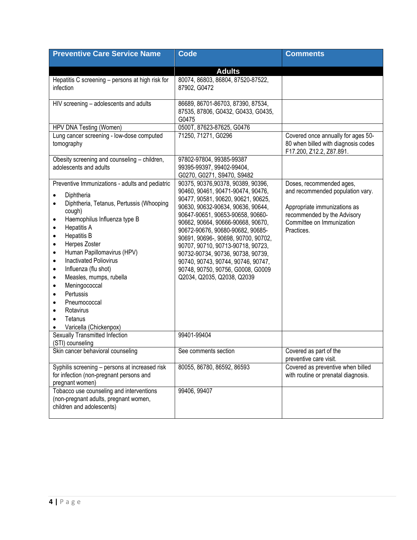| <b>Preventive Care Service Name</b>                                                                                                                                                                                                                                                                                                                                                                                                                                                                                                                                                                                                                                     | <b>Code</b>                                                                                                                                                                                                                                                                                                                                                                                                                                                                                              | <b>Comments</b>                                                                                                                                                        |
|-------------------------------------------------------------------------------------------------------------------------------------------------------------------------------------------------------------------------------------------------------------------------------------------------------------------------------------------------------------------------------------------------------------------------------------------------------------------------------------------------------------------------------------------------------------------------------------------------------------------------------------------------------------------------|----------------------------------------------------------------------------------------------------------------------------------------------------------------------------------------------------------------------------------------------------------------------------------------------------------------------------------------------------------------------------------------------------------------------------------------------------------------------------------------------------------|------------------------------------------------------------------------------------------------------------------------------------------------------------------------|
|                                                                                                                                                                                                                                                                                                                                                                                                                                                                                                                                                                                                                                                                         |                                                                                                                                                                                                                                                                                                                                                                                                                                                                                                          |                                                                                                                                                                        |
|                                                                                                                                                                                                                                                                                                                                                                                                                                                                                                                                                                                                                                                                         | <b>Adults</b>                                                                                                                                                                                                                                                                                                                                                                                                                                                                                            |                                                                                                                                                                        |
| Hepatitis C screening - persons at high risk for<br>infection                                                                                                                                                                                                                                                                                                                                                                                                                                                                                                                                                                                                           | 80074, 86803, 86804, 87520-87522,<br>87902, G0472                                                                                                                                                                                                                                                                                                                                                                                                                                                        |                                                                                                                                                                        |
| HIV screening - adolescents and adults                                                                                                                                                                                                                                                                                                                                                                                                                                                                                                                                                                                                                                  | 86689, 86701-86703, 87390, 87534,<br>87535, 87806, G0432, G0433, G0435,<br>G0475                                                                                                                                                                                                                                                                                                                                                                                                                         |                                                                                                                                                                        |
| HPV DNA Testing (Women)                                                                                                                                                                                                                                                                                                                                                                                                                                                                                                                                                                                                                                                 | 0500T, 87623-87625, G0476                                                                                                                                                                                                                                                                                                                                                                                                                                                                                |                                                                                                                                                                        |
| Lung cancer screening - low-dose computed<br>tomography                                                                                                                                                                                                                                                                                                                                                                                                                                                                                                                                                                                                                 | 71250, 71271, G0296                                                                                                                                                                                                                                                                                                                                                                                                                                                                                      | Covered once annually for ages 50-<br>80 when billed with diagnosis codes<br>F17.200, Z12.2, Z87.891.                                                                  |
| Obesity screening and counseling - children,<br>adolescents and adults                                                                                                                                                                                                                                                                                                                                                                                                                                                                                                                                                                                                  | 97802-97804, 99385-99387<br>99395-99397, 99402-99404,<br>G0270, G0271, S9470, S9482                                                                                                                                                                                                                                                                                                                                                                                                                      |                                                                                                                                                                        |
| Preventive Immunizations - adults and pediatric<br>Diphtheria<br>$\bullet$<br>Diphtheria, Tetanus, Pertussis (Whooping<br>$\bullet$<br>cough)<br>Haemophilus Influenza type B<br>$\bullet$<br><b>Hepatitis A</b><br>$\bullet$<br><b>Hepatitis B</b><br>$\bullet$<br>Herpes Zoster<br>$\bullet$<br>Human Papillomavirus (HPV)<br>$\bullet$<br><b>Inactivated Poliovirus</b><br>$\bullet$<br>Influenza (flu shot)<br>$\bullet$<br>Measles, mumps, rubella<br>$\bullet$<br>Meningococcal<br>$\bullet$<br>Pertussis<br>$\bullet$<br>Pneumococcal<br>$\bullet$<br>Rotavirus<br>$\bullet$<br>Tetanus<br>$\bullet$<br>Varicella (Chickenpox)<br>Sexually Transmitted Infection | 90375, 90376, 90378, 90389, 90396,<br>90460, 90461, 90471-90474, 90476,<br>90477, 90581, 90620, 90621, 90625,<br>90630, 90632-90634, 90636, 90644,<br>90647-90651, 90653-90658, 90660-<br>90662, 90664, 90666-90668, 90670,<br>90672-90676, 90680-90682, 90685-<br>90691, 90696-, 90698, 90700, 90702,<br>90707, 90710, 90713-90718, 90723,<br>90732-90734, 90736, 90738, 90739,<br>90740, 90743, 90744, 90746, 90747,<br>90748, 90750, 90756, G0008, G0009<br>Q2034, Q2035, Q2038, Q2039<br>99401-99404 | Doses, recommended ages,<br>and recommended population vary.<br>Appropriate immunizations as<br>recommended by the Advisory<br>Committee on Immunization<br>Practices. |
| (STI) counseling<br>Skin cancer behavioral counseling                                                                                                                                                                                                                                                                                                                                                                                                                                                                                                                                                                                                                   | See comments section                                                                                                                                                                                                                                                                                                                                                                                                                                                                                     | Covered as part of the                                                                                                                                                 |
|                                                                                                                                                                                                                                                                                                                                                                                                                                                                                                                                                                                                                                                                         |                                                                                                                                                                                                                                                                                                                                                                                                                                                                                                          | preventive care visit.                                                                                                                                                 |
| Syphilis screening - persons at increased risk<br>for infection (non-pregnant persons and<br>pregnant women)                                                                                                                                                                                                                                                                                                                                                                                                                                                                                                                                                            | 80055, 86780, 86592, 86593                                                                                                                                                                                                                                                                                                                                                                                                                                                                               | Covered as preventive when billed<br>with routine or prenatal diagnosis.                                                                                               |
| Tobacco use counseling and interventions<br>(non-pregnant adults, pregnant women,<br>children and adolescents)                                                                                                                                                                                                                                                                                                                                                                                                                                                                                                                                                          | 99406, 99407                                                                                                                                                                                                                                                                                                                                                                                                                                                                                             |                                                                                                                                                                        |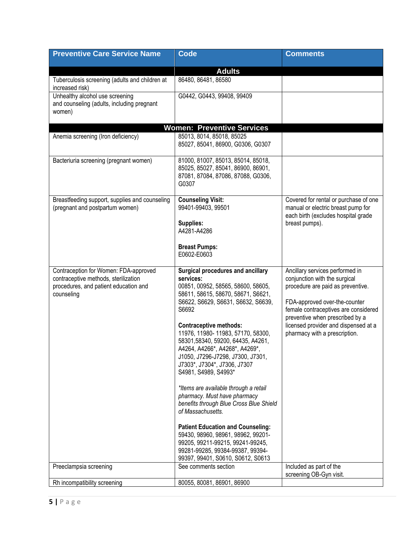| <b>Preventive Care Service Name</b>                                                                                                  | <b>Code</b>                                                                                                                                                                                                                                                                                                                                                                                                                                                                                                                                                                                                                                                                                                                                                 | <b>Comments</b>                                                                                                                                                                                                                                                                            |
|--------------------------------------------------------------------------------------------------------------------------------------|-------------------------------------------------------------------------------------------------------------------------------------------------------------------------------------------------------------------------------------------------------------------------------------------------------------------------------------------------------------------------------------------------------------------------------------------------------------------------------------------------------------------------------------------------------------------------------------------------------------------------------------------------------------------------------------------------------------------------------------------------------------|--------------------------------------------------------------------------------------------------------------------------------------------------------------------------------------------------------------------------------------------------------------------------------------------|
|                                                                                                                                      |                                                                                                                                                                                                                                                                                                                                                                                                                                                                                                                                                                                                                                                                                                                                                             |                                                                                                                                                                                                                                                                                            |
| Tuberculosis screening (adults and children at<br>increased risk)                                                                    | <b>Adults</b><br>86480, 86481, 86580                                                                                                                                                                                                                                                                                                                                                                                                                                                                                                                                                                                                                                                                                                                        |                                                                                                                                                                                                                                                                                            |
| Unhealthy alcohol use screening<br>and counseling (adults, including pregnant<br>women)                                              | G0442, G0443, 99408, 99409                                                                                                                                                                                                                                                                                                                                                                                                                                                                                                                                                                                                                                                                                                                                  |                                                                                                                                                                                                                                                                                            |
|                                                                                                                                      | <b>Women: Preventive Services</b>                                                                                                                                                                                                                                                                                                                                                                                                                                                                                                                                                                                                                                                                                                                           |                                                                                                                                                                                                                                                                                            |
| Anemia screening (Iron deficiency)                                                                                                   | 85013, 8014, 85018, 85025<br>85027, 85041, 86900, G0306, G0307                                                                                                                                                                                                                                                                                                                                                                                                                                                                                                                                                                                                                                                                                              |                                                                                                                                                                                                                                                                                            |
| Bacteriuria screening (pregnant women)                                                                                               | 81000, 81007, 85013, 85014, 85018,<br>85025, 85027, 85041, 86900, 86901,<br>87081, 87084, 87086, 87088, G0306,<br>G0307                                                                                                                                                                                                                                                                                                                                                                                                                                                                                                                                                                                                                                     |                                                                                                                                                                                                                                                                                            |
| Breastfeeding support, supplies and counseling<br>(pregnant and postpartum women)                                                    | <b>Counseling Visit:</b><br>99401-99403, 99501<br>Supplies:<br>A4281-A4286<br><b>Breast Pumps:</b><br>E0602-E0603                                                                                                                                                                                                                                                                                                                                                                                                                                                                                                                                                                                                                                           | Covered for rental or purchase of one<br>manual or electric breast pump for<br>each birth (excludes hospital grade<br>breast pumps).                                                                                                                                                       |
| Contraception for Women: FDA-approved<br>contraceptive methods, sterilization<br>procedures, and patient education and<br>counseling | Surgical procedures and ancillary<br>services:<br>00851, 00952, 58565, 58600, 58605,<br>58611, 58615, 58670, 58671, S6621,<br>S6622, S6629, S6631, S6632, S6639,<br>S6692<br><b>Contraceptive methods:</b><br>11976, 11980-11983, 57170, 58300,<br>58301,58340, 59200, 64435, A4261,<br>A4264, A4266*, A4268*, A4269*,<br>J1050, J7296-J7298, J7300, J7301,<br>J7303*, J7304*, J7306, J7307<br>S4981, S4989, S4993*<br>*Items are available through a retail<br>pharmacy. Must have pharmacy<br>benefits through Blue Cross Blue Shield<br>of Massachusetts.<br><b>Patient Education and Counseling:</b><br>59430, 98960, 98961, 98962, 99201-<br>99205, 99211-99215, 99241-99245,<br>99281-99285, 99384-99387, 99394-<br>99397, 99401, S0610, S0612, S0613 | Ancillary services performed in<br>conjunction with the surgical<br>procedure are paid as preventive.<br>FDA-approved over-the-counter<br>female contraceptives are considered<br>preventive when prescribed by a<br>licensed provider and dispensed at a<br>pharmacy with a prescription. |
| Preeclampsia screening                                                                                                               | See comments section                                                                                                                                                                                                                                                                                                                                                                                                                                                                                                                                                                                                                                                                                                                                        | Included as part of the<br>screening OB-Gyn visit.                                                                                                                                                                                                                                         |
| Rh incompatibility screening                                                                                                         | 80055, 80081, 86901, 86900                                                                                                                                                                                                                                                                                                                                                                                                                                                                                                                                                                                                                                                                                                                                  |                                                                                                                                                                                                                                                                                            |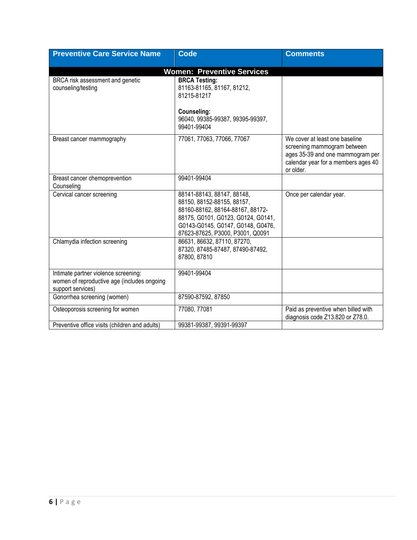| <b>Preventive Care Service Name</b>                                                                      | <b>Code</b>                                                                                                                                                                                                 | <b>Comments</b>                                                                                                                                       |
|----------------------------------------------------------------------------------------------------------|-------------------------------------------------------------------------------------------------------------------------------------------------------------------------------------------------------------|-------------------------------------------------------------------------------------------------------------------------------------------------------|
|                                                                                                          | <b>Women: Preventive Services</b>                                                                                                                                                                           |                                                                                                                                                       |
| BRCA risk assessment and genetic<br>counseling/testing                                                   | <b>BRCA Testing:</b><br>81163-81165, 81167, 81212,<br>81215-81217<br>Counseling:<br>96040, 99385-99387, 99395-99397,<br>99401-99404                                                                         |                                                                                                                                                       |
| Breast cancer mammography                                                                                | 77061, 77063, 77066, 77067                                                                                                                                                                                  | We cover at least one baseline<br>screening mammogram between<br>ages 35-39 and one mammogram per<br>calendar year for a members ages 40<br>or older. |
| Breast cancer chemoprevention<br>Counseling                                                              | 99401-99404                                                                                                                                                                                                 |                                                                                                                                                       |
| Cervical cancer screening                                                                                | 88141-88143, 88147, 88148,<br>88150, 88152-88155, 88157,<br>88160-88162, 88164-88167, 88172-<br>88175, G0101, G0123, G0124, G0141,<br>G0143-G0145, G0147, G0148, G0476,<br>87623-87625, P3000, P3001, Q0091 | Once per calendar year.                                                                                                                               |
| Chlamydia infection screening                                                                            | 86631, 86632, 87110, 87270,<br>87320, 87485-87487, 87490-87492,<br>87800, 87810                                                                                                                             |                                                                                                                                                       |
| Intimate partner violence screening:<br>women of reproductive age (includes ongoing<br>support services) | 99401-99404                                                                                                                                                                                                 |                                                                                                                                                       |
| Gonorrhea screening (women)                                                                              | 87590-87592, 87850                                                                                                                                                                                          |                                                                                                                                                       |
| Osteoporosis screening for women                                                                         | 77080, 77081                                                                                                                                                                                                | Paid as preventive when billed with<br>diagnosis code Z13.820 or Z78.0.                                                                               |
| Preventive office visits (children and adults)                                                           | 99381-99387, 99391-99397                                                                                                                                                                                    |                                                                                                                                                       |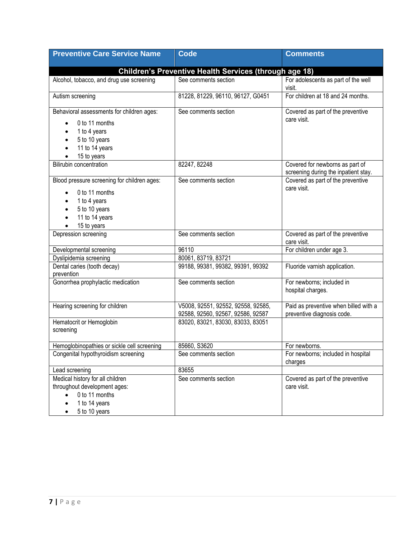| <b>Preventive Care Service Name</b>                                                                                                                         | <b>Code</b>                                                             | <b>Comments</b>                                                         |
|-------------------------------------------------------------------------------------------------------------------------------------------------------------|-------------------------------------------------------------------------|-------------------------------------------------------------------------|
|                                                                                                                                                             | Children's Preventive Health Services (through age 18)                  |                                                                         |
| Alcohol, tobacco, and drug use screening                                                                                                                    | See comments section                                                    | For adolescents as part of the well<br>visit.                           |
| Autism screening                                                                                                                                            | 81228, 81229, 96110, 96127, G0451                                       | For children at 18 and 24 months.                                       |
| Behavioral assessments for children ages:<br>0 to 11 months<br>1 to 4 years<br>5 to 10 years<br>11 to 14 years<br>15 to years                               | See comments section                                                    | Covered as part of the preventive<br>care visit.                        |
| Bilirubin concentration                                                                                                                                     | 82247, 82248                                                            | Covered for newborns as part of<br>screening during the inpatient stay. |
| Blood pressure screening for children ages:<br>0 to 11 months<br>1 to 4 years<br>5 to 10 years<br>11 to 14 years<br>15 to years                             | See comments section                                                    | Covered as part of the preventive<br>care visit.                        |
| Depression screening                                                                                                                                        | See comments section                                                    | Covered as part of the preventive<br>care visit.                        |
| Developmental screening                                                                                                                                     | 96110                                                                   | For children under age 3.                                               |
| Dyslipidemia screening                                                                                                                                      | 80061, 83719, 83721                                                     |                                                                         |
| Dental caries (tooth decay)<br>prevention                                                                                                                   | 99188, 99381, 99382, 99391, 99392                                       | Fluoride varnish application.                                           |
| Gonorrhea prophylactic medication                                                                                                                           | See comments section                                                    | For newborns; included in<br>hospital charges.                          |
| Hearing screening for children                                                                                                                              | V5008, 92551, 92552, 92558, 92585,<br>92588, 92560, 92567, 92586, 92587 | Paid as preventive when billed with a<br>preventive diagnosis code.     |
| Hematocrit or Hemoglobin<br>screening                                                                                                                       | 83020, 83021, 83030, 83033, 83051                                       |                                                                         |
| Hemoglobinopathies or sickle cell screening                                                                                                                 | 85660, S3620                                                            | For newborns.                                                           |
| Congenital hypothyroidism screening                                                                                                                         | See comments section                                                    | For newborns; included in hospital<br>charges                           |
| Lead screening                                                                                                                                              | 83655                                                                   |                                                                         |
| Medical history for all children<br>throughout development ages:<br>0 to 11 months<br>$\bullet$<br>1 to 14 years<br>$\bullet$<br>5 to 10 years<br>$\bullet$ | See comments section                                                    | Covered as part of the preventive<br>care visit.                        |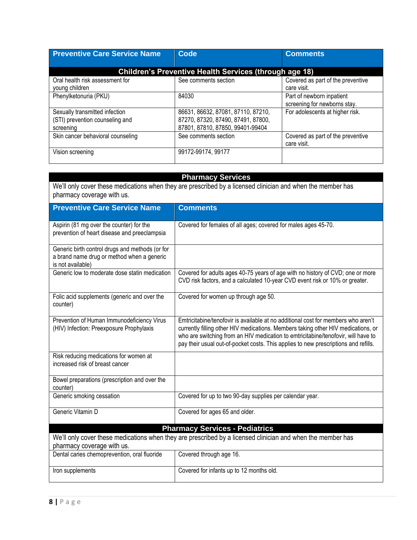| <b>Preventive Care Service Name</b>                                            | Code                                                                                                         | <b>Comments</b>                                           |
|--------------------------------------------------------------------------------|--------------------------------------------------------------------------------------------------------------|-----------------------------------------------------------|
| Children's Preventive Health Services (through age 18)                         |                                                                                                              |                                                           |
| Oral health risk assessment for<br>young children                              | See comments section                                                                                         | Covered as part of the preventive<br>care visit.          |
| Phenylketonuria (PKU)                                                          | 84030                                                                                                        | Part of newborn inpatient<br>screening for newborns stay. |
| Sexually transmitted infection<br>(STI) prevention counseling and<br>screening | 86631, 86632, 87081, 87110, 87210,<br>87270, 87320, 87490, 87491, 87800,<br>87801, 87810, 87850, 99401-99404 | For adolescents at higher risk.                           |
| Skin cancer behavioral counseling                                              | See comments section                                                                                         | Covered as part of the preventive<br>care visit.          |
| Vision screening                                                               | 99172-99174, 99177                                                                                           |                                                           |

# **Pharmacy Services**

We'll only cover these medications when they are prescribed by a licensed clinician and when the member has pharmacy coverage with us.

| <b>Preventive Care Service Name</b>                                                                                | <b>Comments</b>                                                                                                                                                                                                                                                                                                                                    |
|--------------------------------------------------------------------------------------------------------------------|----------------------------------------------------------------------------------------------------------------------------------------------------------------------------------------------------------------------------------------------------------------------------------------------------------------------------------------------------|
| Aspirin (81 mg over the counter) for the<br>prevention of heart disease and preeclampsia                           | Covered for females of all ages; covered for males ages 45-70.                                                                                                                                                                                                                                                                                     |
| Generic birth control drugs and methods (or for<br>a brand name drug or method when a generic<br>is not available) |                                                                                                                                                                                                                                                                                                                                                    |
| Generic low to moderate dose statin medication                                                                     | Covered for adults ages 40-75 years of age with no history of CVD; one or more<br>CVD risk factors, and a calculated 10-year CVD event risk or 10% or greater.                                                                                                                                                                                     |
| Folic acid supplements (generic and over the<br>counter)                                                           | Covered for women up through age 50.                                                                                                                                                                                                                                                                                                               |
| Prevention of Human Immunodeficiency Virus<br>(HIV) Infection: Preexposure Prophylaxis                             | Emtricitabine/tenofovir is available at no additional cost for members who aren't<br>currently filling other HIV medications. Members taking other HIV medications, or<br>who are switching from an HIV medication to emtricitabine/tenofovir, will have to<br>pay their usual out-of-pocket costs. This applies to new prescriptions and refills. |
| Risk reducing medications for women at<br>increased risk of breast cancer                                          |                                                                                                                                                                                                                                                                                                                                                    |
| Bowel preparations (prescription and over the<br>counter)                                                          |                                                                                                                                                                                                                                                                                                                                                    |
| Generic smoking cessation                                                                                          | Covered for up to two 90-day supplies per calendar year.                                                                                                                                                                                                                                                                                           |
| Generic Vitamin D                                                                                                  | Covered for ages 65 and older.                                                                                                                                                                                                                                                                                                                     |
|                                                                                                                    | <b>Pharmacy Services - Pediatrics</b>                                                                                                                                                                                                                                                                                                              |
| pharmacy coverage with us.                                                                                         | We'll only cover these medications when they are prescribed by a licensed clinician and when the member has                                                                                                                                                                                                                                        |
| Dental caries chemoprevention, oral fluoride                                                                       | Covered through age 16.                                                                                                                                                                                                                                                                                                                            |
| Iron supplements                                                                                                   | Covered for infants up to 12 months old.                                                                                                                                                                                                                                                                                                           |